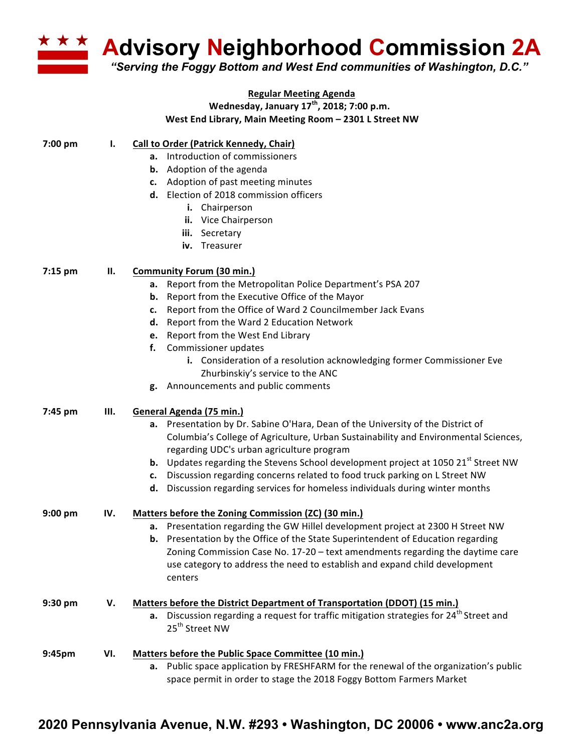**Advisory Neighborhood Commission 2A**

*"Serving the Foggy Bottom and West End communities of Washington, D.C."*

|         |      | <b>Regular Meeting Agenda</b>                                                                          |
|---------|------|--------------------------------------------------------------------------------------------------------|
|         |      | Wednesday, January 17 <sup>th</sup> , 2018; 7:00 p.m.                                                  |
|         |      | West End Library, Main Meeting Room - 2301 L Street NW                                                 |
| 7:00 pm | ı.   | <b>Call to Order (Patrick Kennedy, Chair)</b>                                                          |
|         |      | a. Introduction of commissioners                                                                       |
|         |      | <b>b.</b> Adoption of the agenda                                                                       |
|         |      | c. Adoption of past meeting minutes                                                                    |
|         |      | d. Election of 2018 commission officers                                                                |
|         |      | i. Chairperson                                                                                         |
|         |      | ii. Vice Chairperson                                                                                   |
|         |      | iii. Secretary                                                                                         |
|         |      | iv. Treasurer                                                                                          |
| 7:15 pm | П.   | <b>Community Forum (30 min.)</b>                                                                       |
|         |      | Report from the Metropolitan Police Department's PSA 207<br>а.                                         |
|         |      | <b>b.</b> Report from the Executive Office of the Mayor                                                |
|         |      | c. Report from the Office of Ward 2 Councilmember Jack Evans                                           |
|         |      | d. Report from the Ward 2 Education Network                                                            |
|         |      | e. Report from the West End Library                                                                    |
|         |      | Commissioner updates<br>f.                                                                             |
|         |      | i. Consideration of a resolution acknowledging former Commissioner Eve                                 |
|         |      | Zhurbinskiy's service to the ANC                                                                       |
|         |      | g. Announcements and public comments                                                                   |
|         |      |                                                                                                        |
| 7:45 pm | III. | General Agenda (75 min.)                                                                               |
|         |      | a. Presentation by Dr. Sabine O'Hara, Dean of the University of the District of                        |
|         |      | Columbia's College of Agriculture, Urban Sustainability and Environmental Sciences,                    |
|         |      | regarding UDC's urban agriculture program                                                              |
|         |      | <b>b.</b> Updates regarding the Stevens School development project at 1050 21 <sup>st</sup> Street NW  |
|         |      | c. Discussion regarding concerns related to food truck parking on L Street NW                          |
|         |      | Discussion regarding services for homeless individuals during winter months<br>d.                      |
| 9:00 pm | IV.  | Matters before the Zoning Commission (ZC) (30 min.)                                                    |
|         |      | a. Presentation regarding the GW Hillel development project at 2300 H Street NW                        |
|         |      | <b>b.</b> Presentation by the Office of the State Superintendent of Education regarding                |
|         |      | Zoning Commission Case No. 17-20 - text amendments regarding the daytime care                          |
|         |      | use category to address the need to establish and expand child development                             |
|         |      | centers                                                                                                |
| 9:30 pm | V.   | Matters before the District Department of Transportation (DDOT) (15 min.)                              |
|         |      | Discussion regarding a request for traffic mitigation strategies for 24 <sup>th</sup> Street and<br>а. |
|         |      | 25 <sup>th</sup> Street NW                                                                             |
| 9:45pm  | VI.  | <b>Matters before the Public Space Committee (10 min.)</b>                                             |
|         |      | a. Public space application by FRESHFARM for the renewal of the organization's public                  |
|         |      | space permit in order to stage the 2018 Foggy Bottom Farmers Market                                    |

## **2020 Pennsylvania Avenue, N.W. #293 • Washington, DC 20006 • www.anc2a.org**